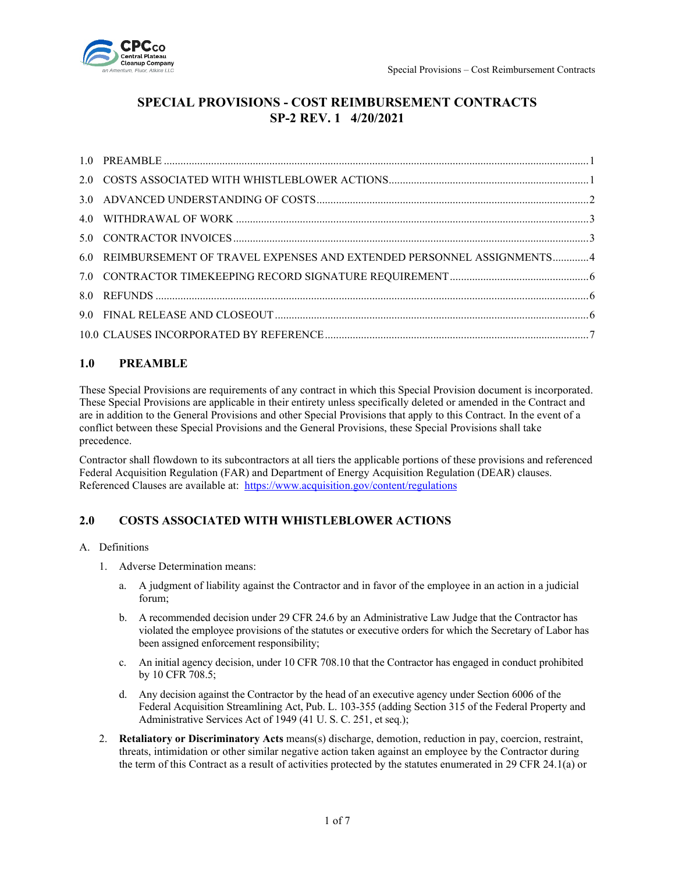

# **SPECIAL PROVISIONS - COST REIMBURSEMENT CONTRACTS SP-2 REV. 1 4/20/2021**

| 6.0 REIMBURSEMENT OF TRAVEL EXPENSES AND EXTENDED PERSONNEL ASSIGNMENTS4 |  |
|--------------------------------------------------------------------------|--|
|                                                                          |  |
|                                                                          |  |
|                                                                          |  |
|                                                                          |  |

# <span id="page-0-0"></span>**1.0 PREAMBLE**

These Special Provisions are requirements of any contract in which this Special Provision document is incorporated. These Special Provisions are applicable in their entirety unless specifically deleted or amended in the Contract and are in addition to the General Provisions and other Special Provisions that apply to this Contract. In the event of a conflict between these Special Provisions and the General Provisions, these Special Provisions shall take precedence.

Contractor shall flowdown to its subcontractors at all tiers the applicable portions of these provisions and referenced Federal Acquisition Regulation (FAR) and Department of Energy Acquisition Regulation (DEAR) clauses. Referenced Clauses are available at: <https://www.acquisition.gov/content/regulations>

# <span id="page-0-1"></span>**2.0 COSTS ASSOCIATED WITH WHISTLEBLOWER ACTIONS**

#### A. Definitions

- 1. Adverse Determination means:
	- a. A judgment of liability against the Contractor and in favor of the employee in an action in a judicial forum;
	- b. A recommended decision under 29 CFR 24.6 by an Administrative Law Judge that the Contractor has violated the employee provisions of the statutes or executive orders for which the Secretary of Labor has been assigned enforcement responsibility;
	- c. An initial agency decision, under 10 CFR 708.10 that the Contractor has engaged in conduct prohibited by 10 CFR 708.5;
	- d. Any decision against the Contractor by the head of an executive agency under Section 6006 of the Federal Acquisition Streamlining Act, Pub. L. 103-355 (adding Section 315 of the Federal Property and Administrative Services Act of 1949 (41 U. S. C. 251, et seq.);
- 2. **Retaliatory or Discriminatory Acts** means(s) discharge, demotion, reduction in pay, coercion, restraint, threats, intimidation or other similar negative action taken against an employee by the Contractor during the term of this Contract as a result of activities protected by the statutes enumerated in 29 CFR 24.1(a) or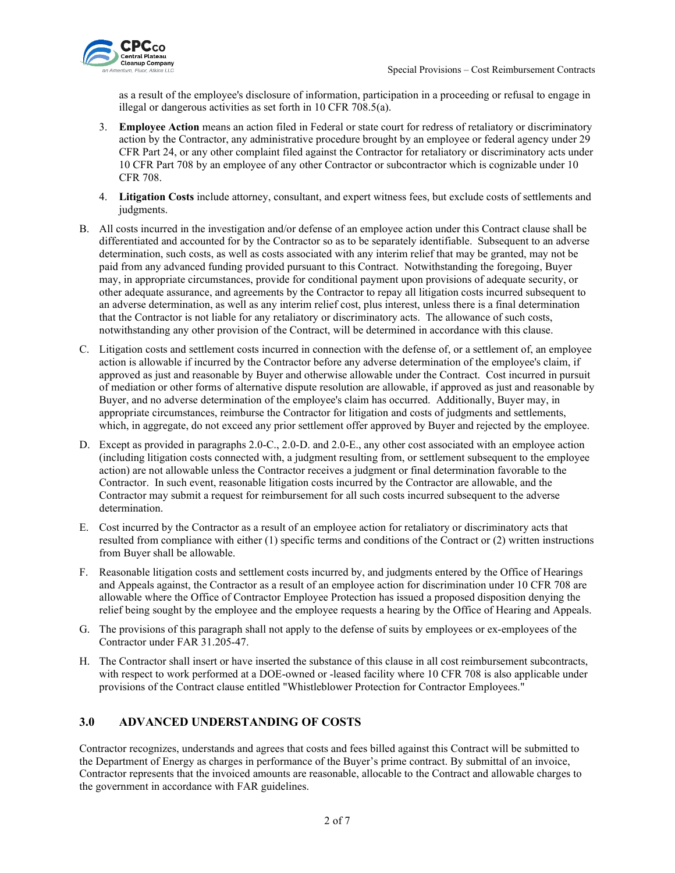

as a result of the employee's disclosure of information, participation in a proceeding or refusal to engage in illegal or dangerous activities as set forth in 10 CFR 708.5(a).

- 3. **Employee Action** means an action filed in Federal or state court for redress of retaliatory or discriminatory action by the Contractor, any administrative procedure brought by an employee or federal agency under 29 CFR Part 24, or any other complaint filed against the Contractor for retaliatory or discriminatory acts under 10 CFR Part 708 by an employee of any other Contractor or subcontractor which is cognizable under 10 CFR 708.
- 4. **Litigation Costs** include attorney, consultant, and expert witness fees, but exclude costs of settlements and judgments.
- B. All costs incurred in the investigation and/or defense of an employee action under this Contract clause shall be differentiated and accounted for by the Contractor so as to be separately identifiable. Subsequent to an adverse determination, such costs, as well as costs associated with any interim relief that may be granted, may not be paid from any advanced funding provided pursuant to this Contract. Notwithstanding the foregoing, Buyer may, in appropriate circumstances, provide for conditional payment upon provisions of adequate security, or other adequate assurance, and agreements by the Contractor to repay all litigation costs incurred subsequent to an adverse determination, as well as any interim relief cost, plus interest, unless there is a final determination that the Contractor is not liable for any retaliatory or discriminatory acts. The allowance of such costs, notwithstanding any other provision of the Contract, will be determined in accordance with this clause.
- C. Litigation costs and settlement costs incurred in connection with the defense of, or a settlement of, an employee action is allowable if incurred by the Contractor before any adverse determination of the employee's claim, if approved as just and reasonable by Buyer and otherwise allowable under the Contract. Cost incurred in pursuit of mediation or other forms of alternative dispute resolution are allowable, if approved as just and reasonable by Buyer, and no adverse determination of the employee's claim has occurred. Additionally, Buyer may, in appropriate circumstances, reimburse the Contractor for litigation and costs of judgments and settlements, which, in aggregate, do not exceed any prior settlement offer approved by Buyer and rejected by the employee.
- D. Except as provided in paragraphs 2.0-C., 2.0-D. and 2.0-E., any other cost associated with an employee action (including litigation costs connected with, a judgment resulting from, or settlement subsequent to the employee action) are not allowable unless the Contractor receives a judgment or final determination favorable to the Contractor. In such event, reasonable litigation costs incurred by the Contractor are allowable, and the Contractor may submit a request for reimbursement for all such costs incurred subsequent to the adverse determination.
- E. Cost incurred by the Contractor as a result of an employee action for retaliatory or discriminatory acts that resulted from compliance with either (1) specific terms and conditions of the Contract or (2) written instructions from Buyer shall be allowable.
- F. Reasonable litigation costs and settlement costs incurred by, and judgments entered by the Office of Hearings and Appeals against, the Contractor as a result of an employee action for discrimination under 10 CFR 708 are allowable where the Office of Contractor Employee Protection has issued a proposed disposition denying the relief being sought by the employee and the employee requests a hearing by the Office of Hearing and Appeals.
- G. The provisions of this paragraph shall not apply to the defense of suits by employees or ex-employees of the Contractor under FAR 31.205-47.
- H. The Contractor shall insert or have inserted the substance of this clause in all cost reimbursement subcontracts, with respect to work performed at a DOE-owned or -leased facility where 10 CFR 708 is also applicable under provisions of the Contract clause entitled "Whistleblower Protection for Contractor Employees."

# <span id="page-1-0"></span>**3.0 ADVANCED UNDERSTANDING OF COSTS**

Contractor recognizes, understands and agrees that costs and fees billed against this Contract will be submitted to the Department of Energy as charges in performance of the Buyer's prime contract. By submittal of an invoice, Contractor represents that the invoiced amounts are reasonable, allocable to the Contract and allowable charges to the government in accordance with FAR guidelines.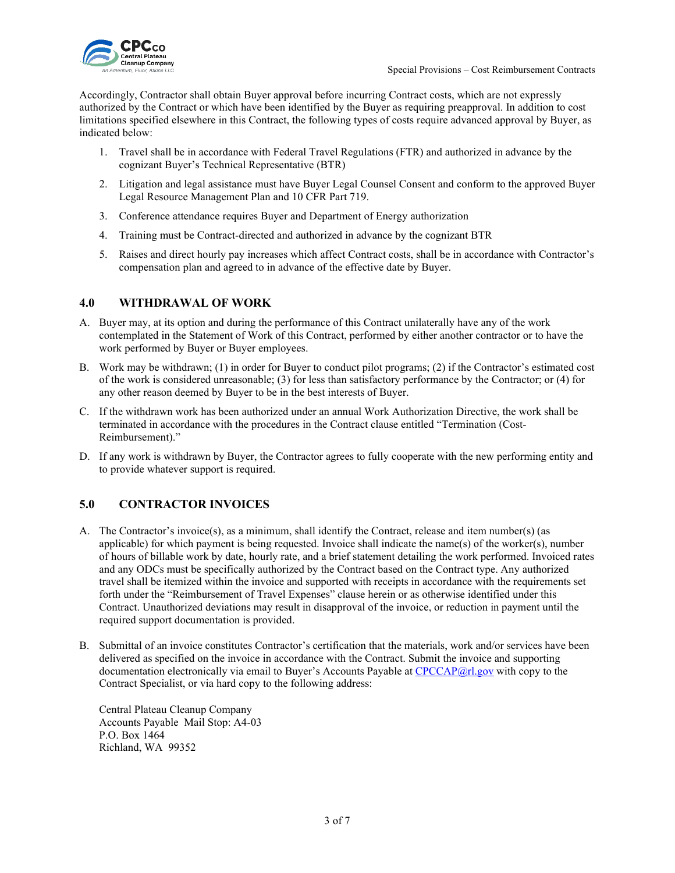

Accordingly, Contractor shall obtain Buyer approval before incurring Contract costs, which are not expressly authorized by the Contract or which have been identified by the Buyer as requiring preapproval. In addition to cost limitations specified elsewhere in this Contract, the following types of costs require advanced approval by Buyer, as indicated below:

- 1. Travel shall be in accordance with Federal Travel Regulations (FTR) and authorized in advance by the cognizant Buyer's Technical Representative (BTR)
- 2. Litigation and legal assistance must have Buyer Legal Counsel Consent and conform to the approved Buyer Legal Resource Management Plan and 10 CFR Part 719.
- 3. Conference attendance requires Buyer and Department of Energy authorization
- 4. Training must be Contract-directed and authorized in advance by the cognizant BTR
- 5. Raises and direct hourly pay increases which affect Contract costs, shall be in accordance with Contractor's compensation plan and agreed to in advance of the effective date by Buyer.

### <span id="page-2-0"></span>**4.0 WITHDRAWAL OF WORK**

- A. Buyer may, at its option and during the performance of this Contract unilaterally have any of the work contemplated in the Statement of Work of this Contract, performed by either another contractor or to have the work performed by Buyer or Buyer employees.
- B. Work may be withdrawn; (1) in order for Buyer to conduct pilot programs; (2) if the Contractor's estimated cost of the work is considered unreasonable; (3) for less than satisfactory performance by the Contractor; or (4) for any other reason deemed by Buyer to be in the best interests of Buyer.
- C. If the withdrawn work has been authorized under an annual Work Authorization Directive, the work shall be terminated in accordance with the procedures in the Contract clause entitled "Termination (Cost-Reimbursement)."
- D. If any work is withdrawn by Buyer, the Contractor agrees to fully cooperate with the new performing entity and to provide whatever support is required.

### <span id="page-2-1"></span>**5.0 CONTRACTOR INVOICES**

- A. The Contractor's invoice(s), as a minimum, shall identify the Contract, release and item number(s) (as applicable) for which payment is being requested. Invoice shall indicate the name(s) of the worker(s), number of hours of billable work by date, hourly rate, and a brief statement detailing the work performed. Invoiced rates and any ODCs must be specifically authorized by the Contract based on the Contract type. Any authorized travel shall be itemized within the invoice and supported with receipts in accordance with the requirements set forth under the "Reimbursement of Travel Expenses" clause herein or as otherwise identified under this Contract. Unauthorized deviations may result in disapproval of the invoice, or reduction in payment until the required support documentation is provided.
- B. Submittal of an invoice constitutes Contractor's certification that the materials, work and/or services have been delivered as specified on the invoice in accordance with the Contract. Submit the invoice and supporting documentation electronically via email to Buyer's Accounts Payable at [CPCCAP@rl.gov](mailto:CPCCAP@rl.gov) with copy to the Contract Specialist, or via hard copy to the following address:

Central Plateau Cleanup Company Accounts Payable Mail Stop: A4-03 P.O. Box 1464 Richland, WA 99352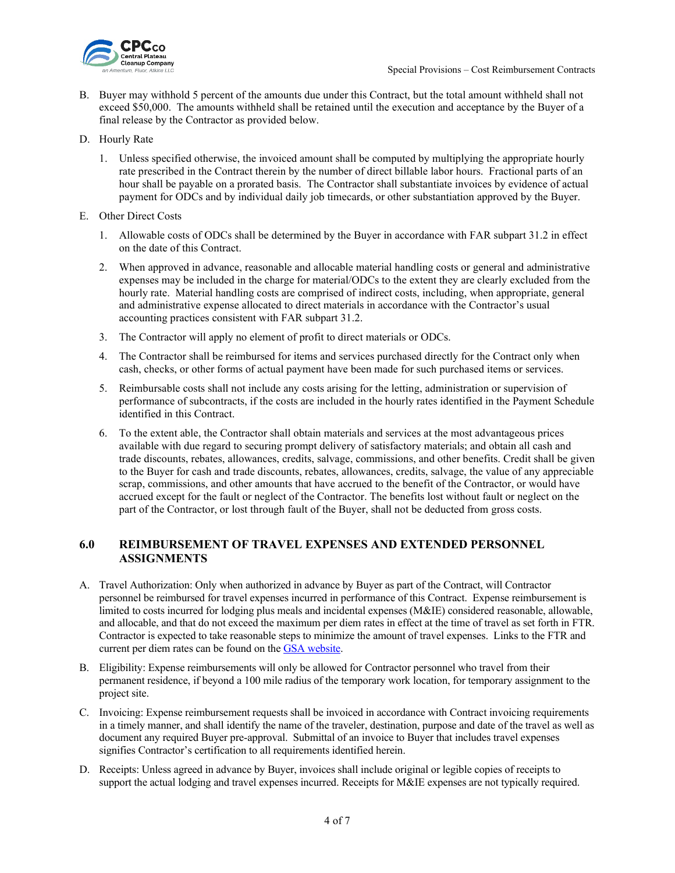

- B. Buyer may withhold 5 percent of the amounts due under this Contract, but the total amount withheld shall not exceed \$50,000. The amounts withheld shall be retained until the execution and acceptance by the Buyer of a final release by the Contractor as provided below.
- D. Hourly Rate
	- 1. Unless specified otherwise, the invoiced amount shall be computed by multiplying the appropriate hourly rate prescribed in the Contract therein by the number of direct billable labor hours. Fractional parts of an hour shall be payable on a prorated basis. The Contractor shall substantiate invoices by evidence of actual payment for ODCs and by individual daily job timecards, or other substantiation approved by the Buyer.
- E. Other Direct Costs
	- 1. Allowable costs of ODCs shall be determined by the Buyer in accordance with FAR subpart 31.2 in effect on the date of this Contract.
	- 2. When approved in advance, reasonable and allocable material handling costs or general and administrative expenses may be included in the charge for material/ODCs to the extent they are clearly excluded from the hourly rate. Material handling costs are comprised of indirect costs, including, when appropriate, general and administrative expense allocated to direct materials in accordance with the Contractor's usual accounting practices consistent with FAR subpart 31.2.
	- 3. The Contractor will apply no element of profit to direct materials or ODCs.
	- 4. The Contractor shall be reimbursed for items and services purchased directly for the Contract only when cash, checks, or other forms of actual payment have been made for such purchased items or services.
	- 5. Reimbursable costs shall not include any costs arising for the letting, administration or supervision of performance of subcontracts, if the costs are included in the hourly rates identified in the Payment Schedule identified in this Contract.
	- 6. To the extent able, the Contractor shall obtain materials and services at the most advantageous prices available with due regard to securing prompt delivery of satisfactory materials; and obtain all cash and trade discounts, rebates, allowances, credits, salvage, commissions, and other benefits. Credit shall be given to the Buyer for cash and trade discounts, rebates, allowances, credits, salvage, the value of any appreciable scrap, commissions, and other amounts that have accrued to the benefit of the Contractor, or would have accrued except for the fault or neglect of the Contractor. The benefits lost without fault or neglect on the part of the Contractor, or lost through fault of the Buyer, shall not be deducted from gross costs.

## <span id="page-3-0"></span>**6.0 REIMBURSEMENT OF TRAVEL EXPENSES AND EXTENDED PERSONNEL ASSIGNMENTS**

- A. Travel Authorization: Only when authorized in advance by Buyer as part of the Contract, will Contractor personnel be reimbursed for travel expenses incurred in performance of this Contract. Expense reimbursement is limited to costs incurred for lodging plus meals and incidental expenses (M&IE) considered reasonable, allowable, and allocable, and that do not exceed the maximum per diem rates in effect at the time of travel as set forth in FTR. Contractor is expected to take reasonable steps to minimize the amount of travel expenses. Links to the FTR and current per diem rates can be found on the [GSA website.](http://www.gsa.gov/)
- B. Eligibility: Expense reimbursements will only be allowed for Contractor personnel who travel from their permanent residence, if beyond a 100 mile radius of the temporary work location, for temporary assignment to the project site.
- C. Invoicing: Expense reimbursement requests shall be invoiced in accordance with Contract invoicing requirements in a timely manner, and shall identify the name of the traveler, destination, purpose and date of the travel as well as document any required Buyer pre-approval. Submittal of an invoice to Buyer that includes travel expenses signifies Contractor's certification to all requirements identified herein.
- D. Receipts: Unless agreed in advance by Buyer, invoices shall include original or legible copies of receipts to support the actual lodging and travel expenses incurred. Receipts for M&IE expenses are not typically required.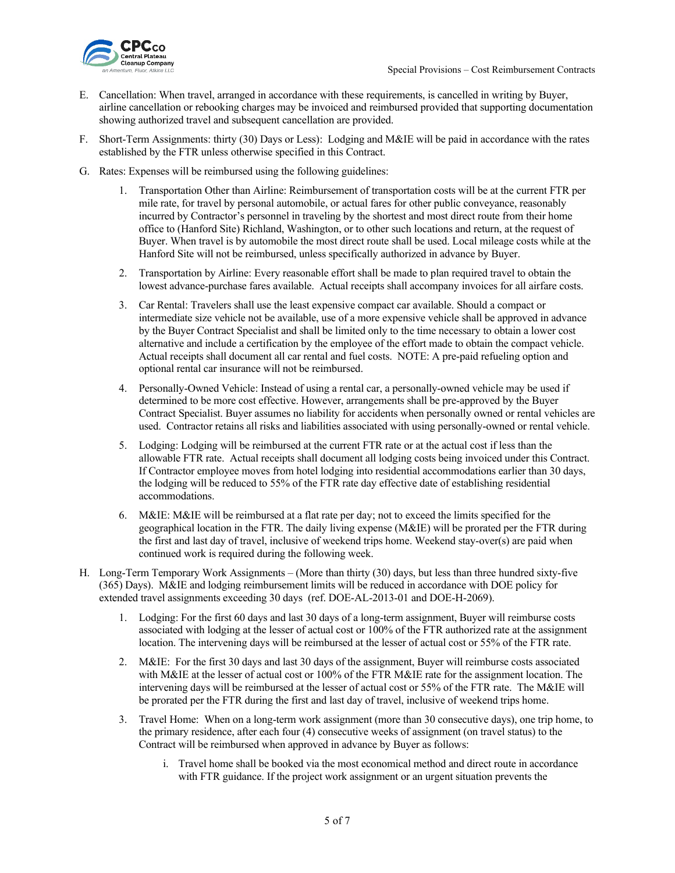

- E. Cancellation: When travel, arranged in accordance with these requirements, is cancelled in writing by Buyer, airline cancellation or rebooking charges may be invoiced and reimbursed provided that supporting documentation showing authorized travel and subsequent cancellation are provided.
- F. Short-Term Assignments: thirty (30) Days or Less): Lodging and M&IE will be paid in accordance with the rates established by the FTR unless otherwise specified in this Contract.
- G. Rates: Expenses will be reimbursed using the following guidelines:
	- 1. Transportation Other than Airline: Reimbursement of transportation costs will be at the current FTR per mile rate, for travel by personal automobile, or actual fares for other public conveyance, reasonably incurred by Contractor's personnel in traveling by the shortest and most direct route from their home office to (Hanford Site) Richland, Washington, or to other such locations and return, at the request of Buyer. When travel is by automobile the most direct route shall be used. Local mileage costs while at the Hanford Site will not be reimbursed, unless specifically authorized in advance by Buyer.
	- 2. Transportation by Airline: Every reasonable effort shall be made to plan required travel to obtain the lowest advance-purchase fares available. Actual receipts shall accompany invoices for all airfare costs.
	- 3. Car Rental: Travelers shall use the least expensive compact car available. Should a compact or intermediate size vehicle not be available, use of a more expensive vehicle shall be approved in advance by the Buyer Contract Specialist and shall be limited only to the time necessary to obtain a lower cost alternative and include a certification by the employee of the effort made to obtain the compact vehicle. Actual receipts shall document all car rental and fuel costs. NOTE: A pre-paid refueling option and optional rental car insurance will not be reimbursed.
	- 4. Personally-Owned Vehicle: Instead of using a rental car, a personally-owned vehicle may be used if determined to be more cost effective. However, arrangements shall be pre-approved by the Buyer Contract Specialist. Buyer assumes no liability for accidents when personally owned or rental vehicles are used. Contractor retains all risks and liabilities associated with using personally-owned or rental vehicle.
	- 5. Lodging: Lodging will be reimbursed at the current FTR rate or at the actual cost if less than the allowable FTR rate. Actual receipts shall document all lodging costs being invoiced under this Contract. If Contractor employee moves from hotel lodging into residential accommodations earlier than 30 days, the lodging will be reduced to 55% of the FTR rate day effective date of establishing residential accommodations.
	- 6. M&IE: M&IE will be reimbursed at a flat rate per day; not to exceed the limits specified for the geographical location in the FTR. The daily living expense (M&IE) will be prorated per the FTR during the first and last day of travel, inclusive of weekend trips home. Weekend stay-over(s) are paid when continued work is required during the following week.
- H. Long-Term Temporary Work Assignments (More than thirty (30) days, but less than three hundred sixty-five (365) Days). M&IE and lodging reimbursement limits will be reduced in accordance with DOE policy for extended travel assignments exceeding 30 day[s \(ref. DOE-AL-2013-01](http://energy.gov/management/acquisition-letters) and DOE-H-2069).
	- 1. Lodging: For the first 60 days and last 30 days of a long-term assignment, Buyer will reimburse costs associated with lodging at the lesser of actual cost or 100% of the FTR authorized rate at the assignment location. The intervening days will be reimbursed at the lesser of actual cost or 55% of the FTR rate.
	- 2. M&IE: For the first 30 days and last 30 days of the assignment, Buyer will reimburse costs associated with M&IE at the lesser of actual cost or 100% of the FTR M&IE rate for the assignment location. The intervening days will be reimbursed at the lesser of actual cost or 55% of the FTR rate. The M&IE will be prorated per the FTR during the first and last day of travel, inclusive of weekend trips home.
	- 3. Travel Home: When on a long-term work assignment (more than 30 consecutive days), one trip home, to the primary residence, after each four (4) consecutive weeks of assignment (on travel status) to the Contract will be reimbursed when approved in advance by Buyer as follows:
		- i. Travel home shall be booked via the most economical method and direct route in accordance with FTR guidance. If the project work assignment or an urgent situation prevents the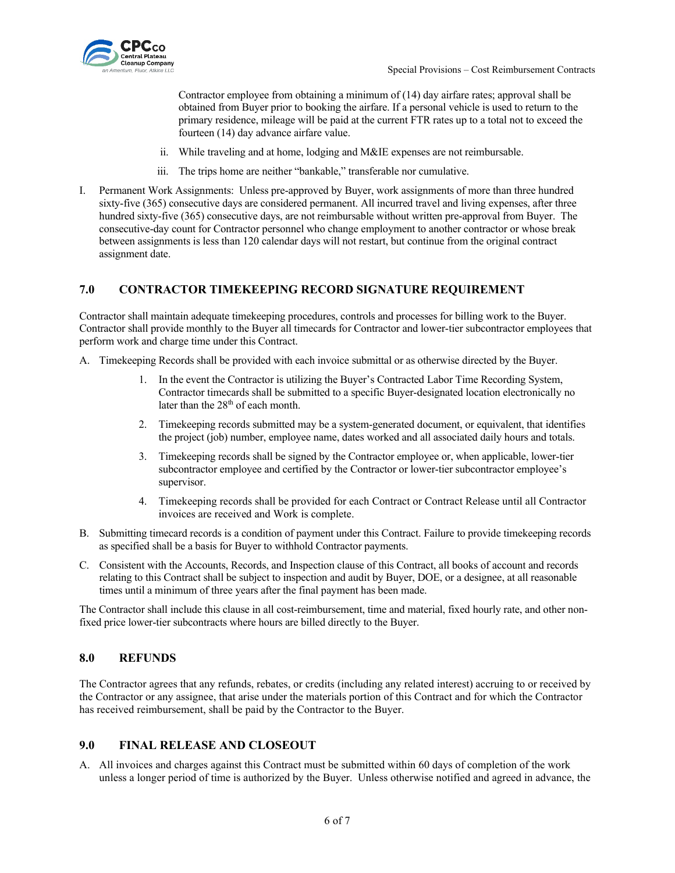

Contractor employee from obtaining a minimum of (14) day airfare rates; approval shall be obtained from Buyer prior to booking the airfare. If a personal vehicle is used to return to the primary residence, mileage will be paid at the current FTR rates up to a total not to exceed the fourteen (14) day advance airfare value.

- ii. While traveling and at home, lodging and M&IE expenses are not reimbursable.
- iii. The trips home are neither "bankable," transferable nor cumulative.
- I. Permanent Work Assignments: Unless pre-approved by Buyer, work assignments of more than three hundred sixty-five (365) consecutive days are considered permanent. All incurred travel and living expenses, after three hundred sixty-five (365) consecutive days, are not reimbursable without written pre-approval from Buyer. The consecutive-day count for Contractor personnel who change employment to another contractor or whose break between assignments is less than 120 calendar days will not restart, but continue from the original contract assignment date.

#### <span id="page-5-0"></span>**7.0 CONTRACTOR TIMEKEEPING RECORD SIGNATURE REQUIREMENT**

Contractor shall maintain adequate timekeeping procedures, controls and processes for billing work to the Buyer. Contractor shall provide monthly to the Buyer all timecards for Contractor and lower-tier subcontractor employees that perform work and charge time under this Contract.

- A. Timekeeping Records shall be provided with each invoice submittal or as otherwise directed by the Buyer.
	- 1. In the event the Contractor is utilizing the Buyer's Contracted Labor Time Recording System, Contractor timecards shall be submitted to a specific Buyer-designated location electronically no later than the 28<sup>th</sup> of each month.
	- 2. Timekeeping records submitted may be a system-generated document, or equivalent, that identifies the project (job) number, employee name, dates worked and all associated daily hours and totals.
	- 3. Timekeeping records shall be signed by the Contractor employee or, when applicable, lower-tier subcontractor employee and certified by the Contractor or lower-tier subcontractor employee's supervisor.
	- 4. Timekeeping records shall be provided for each Contract or Contract Release until all Contractor invoices are received and Work is complete.
- B. Submitting timecard records is a condition of payment under this Contract. Failure to provide timekeeping records as specified shall be a basis for Buyer to withhold Contractor payments.
- C. Consistent with the Accounts, Records, and Inspection clause of this Contract, all books of account and records relating to this Contract shall be subject to inspection and audit by Buyer, DOE, or a designee, at all reasonable times until a minimum of three years after the final payment has been made.

The Contractor shall include this clause in all cost-reimbursement, time and material, fixed hourly rate, and other nonfixed price lower-tier subcontracts where hours are billed directly to the Buyer.

### <span id="page-5-1"></span>**8.0 REFUNDS**

The Contractor agrees that any refunds, rebates, or credits (including any related interest) accruing to or received by the Contractor or any assignee, that arise under the materials portion of this Contract and for which the Contractor has received reimbursement, shall be paid by the Contractor to the Buyer.

#### <span id="page-5-2"></span>**9.0 FINAL RELEASE AND CLOSEOUT**

A. All invoices and charges against this Contract must be submitted within 60 days of completion of the work unless a longer period of time is authorized by the Buyer. Unless otherwise notified and agreed in advance, the